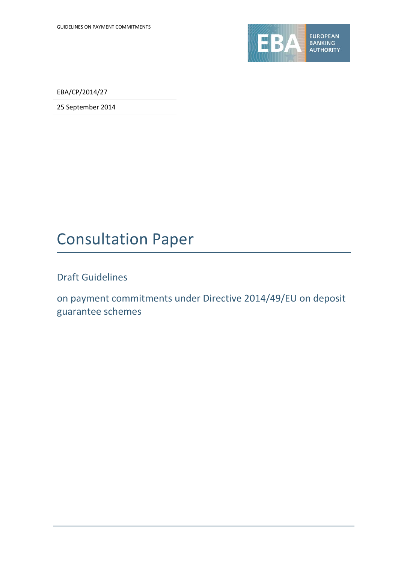

EBA/CP/2014/27

25 September 2014

# Consultation Paper

Draft Guidelines

on payment commitments under Directive 2014/49/EU on deposit guarantee schemes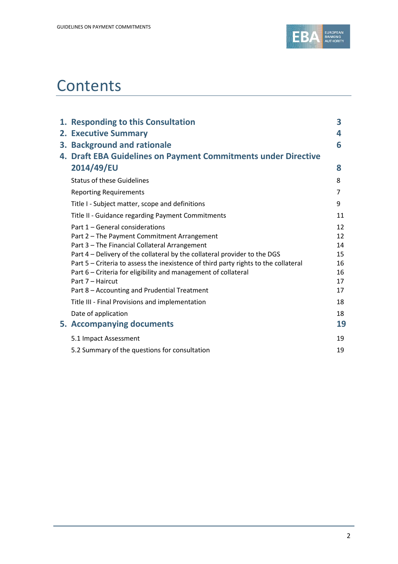

# **Contents**

| 1. Responding to this Consultation                                                  | 3  |
|-------------------------------------------------------------------------------------|----|
| 2. Executive Summary                                                                | 4  |
| 3. Background and rationale                                                         | 6  |
| 4. Draft EBA Guidelines on Payment Commitments under Directive                      |    |
| 2014/49/EU                                                                          | 8  |
| <b>Status of these Guidelines</b>                                                   | 8  |
| <b>Reporting Requirements</b>                                                       | 7  |
| Title I - Subject matter, scope and definitions                                     | 9  |
| Title II - Guidance regarding Payment Commitments                                   | 11 |
| Part 1 - General considerations                                                     | 12 |
| Part 2 - The Payment Commitment Arrangement                                         | 12 |
| Part 3 - The Financial Collateral Arrangement                                       | 14 |
| Part 4 - Delivery of the collateral by the collateral provider to the DGS           | 15 |
| Part 5 - Criteria to assess the inexistence of third party rights to the collateral | 16 |
| Part 6 – Criteria for eligibility and management of collateral                      | 16 |
| Part 7 - Haircut                                                                    | 17 |
| Part 8 - Accounting and Prudential Treatment                                        | 17 |
| Title III - Final Provisions and implementation                                     | 18 |
| Date of application                                                                 | 18 |
| 5. Accompanying documents                                                           | 19 |
| 5.1 Impact Assessment                                                               | 19 |
| 5.2 Summary of the questions for consultation                                       | 19 |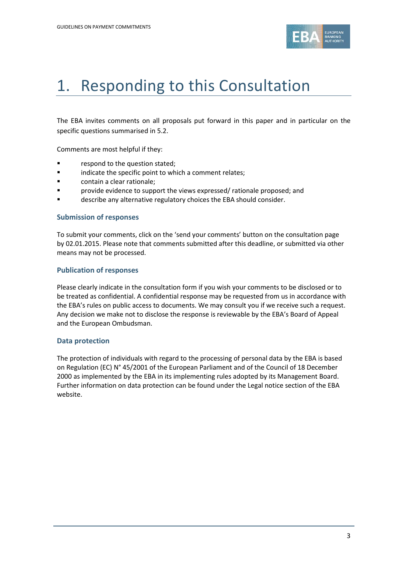

# 1. Responding to this Consultation

The EBA invites comments on all proposals put forward in this paper and in particular on the specific questions summarised in 5.2.

Comments are most helpful if they:

- **Fallengia Exercise 1** respond to the question stated;
- **Example 3** indicate the specific point to which a comment relates;
- contain a clear rationale;
- **F** provide evidence to support the views expressed/ rationale proposed; and
- describe any alternative regulatory choices the EBA should consider.

### **Submission of responses**

To submit your comments, click on the 'send your comments' button on the consultation page by 02.01.2015. Please note that comments submitted after this deadline, or submitted via other means may not be processed.

### **Publication of responses**

Please clearly indicate in the consultation form if you wish your comments to be disclosed or to be treated as confidential. A confidential response may be requested from us in accordance with the EBA's rules on public access to documents. We may consult you if we receive such a request. Any decision we make not to disclose the response is reviewable by the EBA's Board of Appeal and the European Ombudsman.

# **Data protection**

The protection of individuals with regard to the processing of personal data by the EBA is based on Regulation (EC) N° 45/2001 of the European Parliament and of the Council of 18 December 2000 as implemented by the EBA in its implementing rules adopted by its Management Board. Further information on data protection can be found under the [Legal notice section](http://eba.europa.eu/legal-notice) of the EBA website.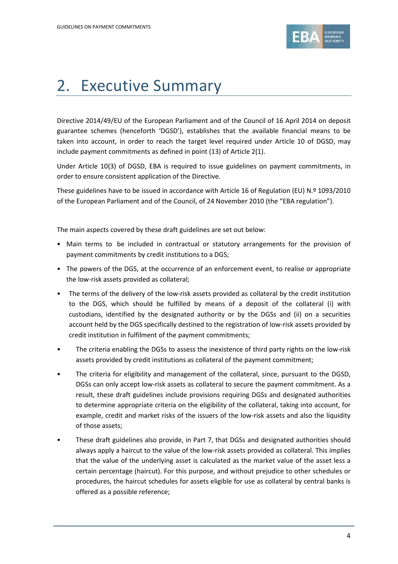

# 2. Executive Summary

Directive 2014/49/EU of the European Parliament and of the Council of 16 April 2014 on deposit guarantee schemes (henceforth 'DGSD'), establishes that the available financial means to be taken into account, in order to reach the target level required under Article 10 of DGSD, may include payment commitments as defined in point (13) of Article 2(1).

Under Article 10(3) of DGSD, EBA is required to issue guidelines on payment commitments, in order to ensure consistent application of the Directive.

These guidelines have to be issued in accordance with Article 16 of Regulation (EU) N.º 1093/2010 of the European Parliament and of the Council, of 24 November 2010 (the "EBA regulation").

The main aspects covered by these draft guidelines are set out below:

- Main terms to be included in contractual or statutory arrangements for the provision of payment commitments by credit institutions to a DGS;
- The powers of the DGS, at the occurrence of an enforcement event, to realise or appropriate the low-risk assets provided as collateral;
- The terms of the delivery of the low-risk assets provided as collateral by the credit institution to the DGS, which should be fulfilled by means of a deposit of the collateral (i) with custodians, identified by the designated authority or by the DGSs and (ii) on a securities account held by the DGS specifically destined to the registration of low-risk assets provided by credit institution in fulfilment of the payment commitments;
- The criteria enabling the DGSs to assess the inexistence of third party rights on the low-risk assets provided by credit institutions as collateral of the payment commitment;
- The criteria for eligibility and management of the collateral, since, pursuant to the DGSD, DGSs can only accept low-risk assets as collateral to secure the payment commitment. As a result, these draft guidelines include provisions requiring DGSs and designated authorities to determine appropriate criteria on the eligibility of the collateral, taking into account, for example, credit and market risks of the issuers of the low-risk assets and also the liquidity of those assets;
- These draft guidelines also provide, in Part 7, that DGSs and designated authorities should always apply a haircut to the value of the low-risk assets provided as collateral. This implies that the value of the underlying asset is calculated as the market value of the asset less a certain percentage (haircut). For this purpose, and without prejudice to other schedules or procedures, the haircut schedules for assets eligible for use as collateral by central banks is offered as a possible reference;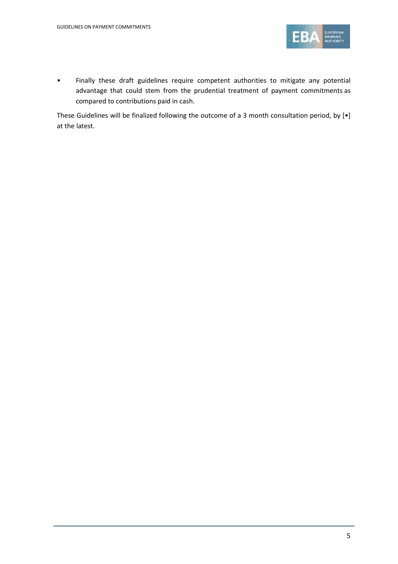

• Finally these draft guidelines require competent authorities to mitigate any potential advantage that could stem from the prudential treatment of payment commitments as compared to contributions paid in cash.

These Guidelines will be finalized following the outcome of a 3 month consultation period, by [•] at the latest.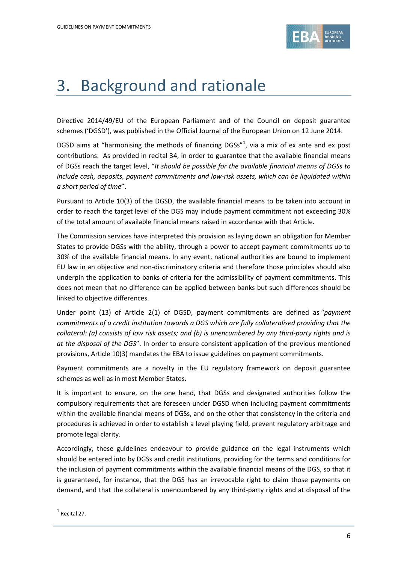

# 3. Background and rationale

Directive 2014/49/EU of the European Parliament and of the Council on deposit guarantee schemes ('DGSD'), was published in the Official Journal of the European Union on 12 June 2014.

DGSD aims at "harmonising the methods of financing DGSs" $1$ , via a mix of ex ante and ex post contributions. As provided in recital 34, in order to guarantee that the available financial means of DGSs reach the target level, "*It should be possible for the available financial means of DGSs to include cash, deposits, payment commitments and low-risk assets, which can be liquidated within a short period of time*".

Pursuant to Article 10(3) of the DGSD, the available financial means to be taken into account in order to reach the target level of the DGS may include payment commitment not exceeding 30% of the total amount of available financial means raised in accordance with that Article.

The Commission services have interpreted this provision as laying down an obligation for Member States to provide DGSs with the ability, through a power to accept payment commitments up to 30% of the available financial means. In any event, national authorities are bound to implement EU law in an objective and non-discriminatory criteria and therefore those principles should also underpin the application to banks of criteria for the admissibility of payment commitments. This does not mean that no difference can be applied between banks but such differences should be linked to objective differences.

Under point (13) of Article 2(1) of DGSD, payment commitments are defined as "*payment commitments of a credit institution towards a DGS which are fully collateralised providing that the collateral: (a) consists of low risk assets; and (b) is unencumbered by any third-party rights and is at the disposal of the DGS*". In order to ensure consistent application of the previous mentioned provisions, Article 10(3) mandates the EBA to issue guidelines on payment commitments.

Payment commitments are a novelty in the EU regulatory framework on deposit guarantee schemes as well as in most Member States.

It is important to ensure, on the one hand, that DGSs and designated authorities follow the compulsory requirements that are foreseen under DGSD when including payment commitments within the available financial means of DGSs, and on the other that consistency in the criteria and procedures is achieved in order to establish a level playing field, prevent regulatory arbitrage and promote legal clarity.

Accordingly, these guidelines endeavour to provide guidance on the legal instruments which should be entered into by DGSs and credit institutions, providing for the terms and conditions for the inclusion of payment commitments within the available financial means of the DGS, so that it is guaranteed, for instance, that the DGS has an irrevocable right to claim those payments on demand, and that the collateral is unencumbered by any third-party rights and at disposal of the

 $\overline{a}$ 

<span id="page-5-0"></span> $<sup>1</sup>$  Recital 27.</sup>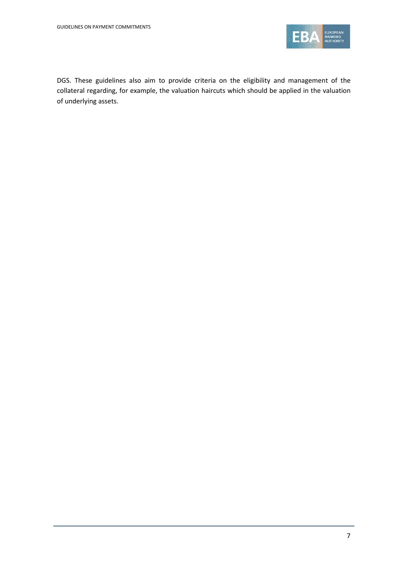

DGS. These guidelines also aim to provide criteria on the eligibility and management of the collateral regarding, for example, the valuation haircuts which should be applied in the valuation of underlying assets.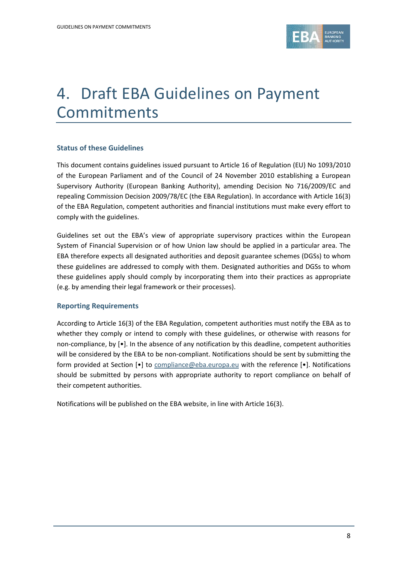

# 4. Draft EBA Guidelines on Payment Commitments

# **Status of these Guidelines**

This document contains guidelines issued pursuant to Article 16 of Regulation (EU) No 1093/2010 of the European Parliament and of the Council of 24 November 2010 establishing a European Supervisory Authority (European Banking Authority), amending Decision No 716/2009/EC and repealing Commission Decision 2009/78/EC (the EBA Regulation). In accordance with Article 16(3) of the EBA Regulation, competent authorities and financial institutions must make every effort to comply with the guidelines.

Guidelines set out the EBA's view of appropriate supervisory practices within the European System of Financial Supervision or of how Union law should be applied in a particular area. The EBA therefore expects all designated authorities and deposit guarantee schemes (DGSs) to whom these guidelines are addressed to comply with them. Designated authorities and DGSs to whom these guidelines apply should comply by incorporating them into their practices as appropriate (e.g. by amending their legal framework or their processes).

#### **Reporting Requirements**

According to Article 16(3) of the EBA Regulation, competent authorities must notify the EBA as to whether they comply or intend to comply with these guidelines, or otherwise with reasons for non-compliance, by [•]. In the absence of any notification by this deadline, competent authorities will be considered by the EBA to be non-compliant. Notifications should be sent by submitting the form provided at Section [•] to [compliance@eba.europa.eu](mailto:compliance@eba.europa.eu) with the reference [•]. Notifications should be submitted by persons with appropriate authority to report compliance on behalf of their competent authorities.

Notifications will be published on the EBA website, in line with Article 16(3).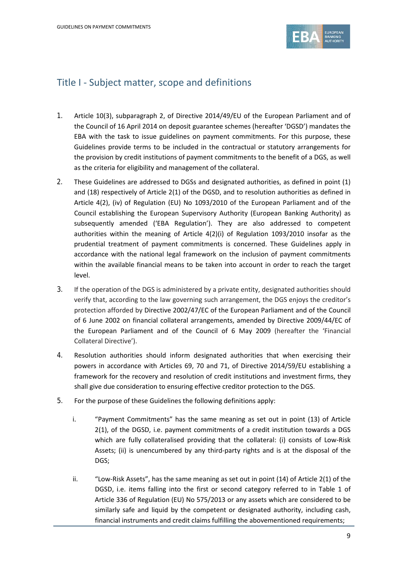

# Title I - Subject matter, scope and definitions

- 1. Article 10(3), subparagraph 2, of Directive 2014/49/EU of the European Parliament and of the Council of 16 April 2014 on deposit guarantee schemes (hereafter 'DGSD') mandates the EBA with the task to issue guidelines on payment commitments. For this purpose, these Guidelines provide terms to be included in the contractual or statutory arrangements for the provision by credit institutions of payment commitments to the benefit of a DGS, as well as the criteria for eligibility and management of the collateral.
- 2. These Guidelines are addressed to DGSs and designated authorities, as defined in point (1) and (18) respectively of Article 2(1) of the DGSD, and to resolution authorities as defined in Article 4(2), (iv) of Regulation (EU) No 1093/2010 of the European Parliament and of the Council establishing the European Supervisory Authority (European Banking Authority) as subsequently amended ('EBA Regulation'). They are also addressed to competent authorities within the meaning of Article 4(2)(i) of Regulation 1093/2010 insofar as the prudential treatment of payment commitments is concerned. These Guidelines apply in accordance with the national legal framework on the inclusion of payment commitments within the available financial means to be taken into account in order to reach the target level.
- 3. If the operation of the DGS is administered by a private entity, designated authorities should verify that, according to the law governing such arrangement, the DGS enjoys the creditor's protection afforded by Directive 2002/47/EC of the European Parliament and of the Council of 6 June 2002 on financial collateral arrangements, amended by Directive 2009/44/EC of the European Parliament and of the Council of 6 May 2009 (hereafter the 'Financial Collateral Directive').
- 4. Resolution authorities should inform designated authorities that when exercising their powers in accordance with Articles 69, 70 and 71, of Directive 2014/59/EU establishing a framework for the recovery and resolution of credit institutions and investment firms, they shall give due consideration to ensuring effective creditor protection to the DGS.
- 5. For the purpose of these Guidelines the following definitions apply:
	- i. "Payment Commitments" has the same meaning as set out in point (13) of Article 2(1), of the DGSD, i.e. payment commitments of a credit institution towards a DGS which are fully collateralised providing that the collateral: (i) consists of Low-Risk Assets; (ii) is unencumbered by any third-party rights and is at the disposal of the DGS;
	- ii. "Low-Risk Assets", has the same meaning as set out in point (14) of Article 2(1) of the DGSD, i.e. items falling into the first or second category referred to in Table 1 of Article 336 of Regulation (EU) No 575/2013 or any assets which are considered to be similarly safe and liquid by the competent or designated authority, including cash, financial instruments and credit claims fulfilling the abovementioned requirements;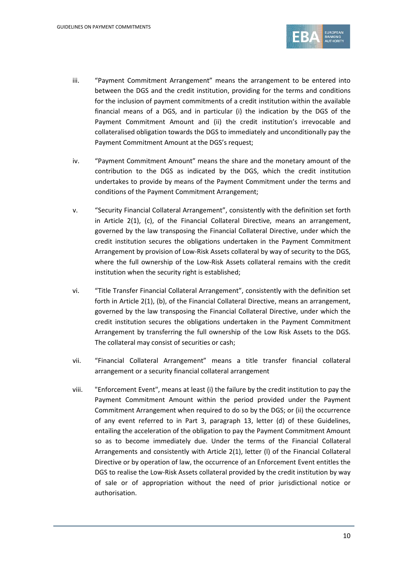

- iii. "Payment Commitment Arrangement" means the arrangement to be entered into between the DGS and the credit institution, providing for the terms and conditions for the inclusion of payment commitments of a credit institution within the available financial means of a DGS, and in particular (i) the indication by the DGS of the Payment Commitment Amount and (ii) the credit institution's irrevocable and collateralised obligation towards the DGS to immediately and unconditionally pay the Payment Commitment Amount at the DGS's request;
- iv. "Payment Commitment Amount" means the share and the monetary amount of the contribution to the DGS as indicated by the DGS, which the credit institution undertakes to provide by means of the Payment Commitment under the terms and conditions of the Payment Commitment Arrangement;
- v. "Security Financial Collateral Arrangement", consistently with the definition set forth in Article 2(1), (c), of the Financial Collateral Directive, means an arrangement, governed by the law transposing the Financial Collateral Directive, under which the credit institution secures the obligations undertaken in the Payment Commitment Arrangement by provision of Low-Risk Assets collateral by way of security to the DGS, where the full ownership of the Low-Risk Assets collateral remains with the credit institution when the security right is established;
- vi. "Title Transfer Financial Collateral Arrangement", consistently with the definition set forth in Article 2(1), (b), of the Financial Collateral Directive, means an arrangement, governed by the law transposing the Financial Collateral Directive, under which the credit institution secures the obligations undertaken in the Payment Commitment Arrangement by transferring the full ownership of the Low Risk Assets to the DGS. The collateral may consist of securities or cash;
- vii. "Financial Collateral Arrangement" means a title transfer financial collateral arrangement or a security financial collateral arrangement
- viii. "Enforcement Event", means at least (i) the failure by the credit institution to pay the Payment Commitment Amount within the period provided under the Payment Commitment Arrangement when required to do so by the DGS; or (ii) the occurrence of any event referred to in Part 3, paragraph 13, letter (d) of these Guidelines, entailing the acceleration of the obligation to pay the Payment Commitment Amount so as to become immediately due. Under the terms of the Financial Collateral Arrangements and consistently with Article 2(1), letter (l) of the Financial Collateral Directive or by operation of law, the occurrence of an Enforcement Event entitles the DGS to realise the Low-Risk Assets collateral provided by the credit institution by way of sale or of appropriation without the need of prior jurisdictional notice or authorisation.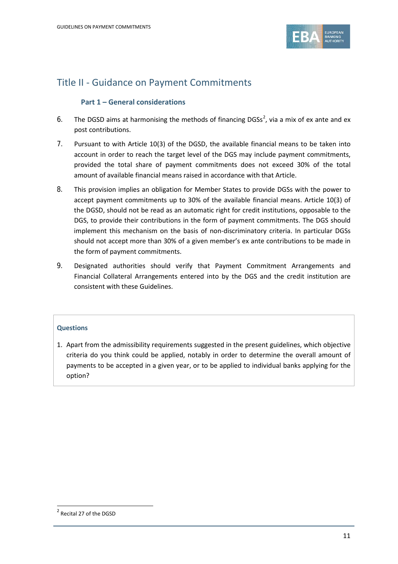

# Title II - Guidance on Payment Commitments

# **Part 1 – General considerations**

- 6. The DGSD aims at harmonising the methods of financing DGSs<sup>[2](#page-10-0)</sup>, via a mix of ex ante and ex post contributions.
- 7. Pursuant to with Article 10(3) of the DGSD, the available financial means to be taken into account in order to reach the target level of the DGS may include payment commitments, provided the total share of payment commitments does not exceed 30% of the total amount of available financial means raised in accordance with that Article.
- 8. This provision implies an obligation for Member States to provide DGSs with the power to accept payment commitments up to 30% of the available financial means. Article 10(3) of the DGSD, should not be read as an automatic right for credit institutions, opposable to the DGS, to provide their contributions in the form of payment commitments. The DGS should implement this mechanism on the basis of non-discriminatory criteria. In particular DGSs should not accept more than 30% of a given member's ex ante contributions to be made in the form of payment commitments.
- 9. Designated authorities should verify that Payment Commitment Arrangements and Financial Collateral Arrangements entered into by the DGS and the credit institution are consistent with these Guidelines.

# **Questions**

1. Apart from the admissibility requirements suggested in the present guidelines, which objective criteria do you think could be applied, notably in order to determine the overall amount of payments to be accepted in a given year, or to be applied to individual banks applying for the option?

 $\overline{a}$ 

<span id="page-10-0"></span><sup>2</sup> Recital 27 of the DGSD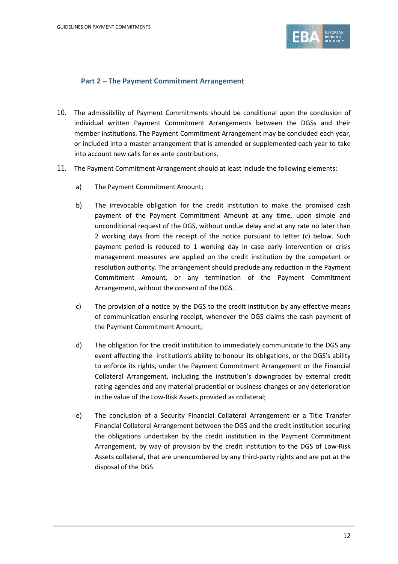

# **Part 2 – The Payment Commitment Arrangement**

- 10. The admissibility of Payment Commitments should be conditional upon the conclusion of individual written Payment Commitment Arrangements between the DGSs and their member institutions. The Payment Commitment Arrangement may be concluded each year, or included into a master arrangement that is amended or supplemented each year to take into account new calls for ex ante contributions.
- 11. The Payment Commitment Arrangement should at least include the following elements:
	- a) The Payment Commitment Amount;
	- b) The irrevocable obligation for the credit institution to make the promised cash payment of the Payment Commitment Amount at any time, upon simple and unconditional request of the DGS, without undue delay and at any rate no later than 2 working days from the receipt of the notice pursuant to letter (c) below. Such payment period is reduced to 1 working day in case early intervention or crisis management measures are applied on the credit institution by the competent or resolution authority. The arrangement should preclude any reduction in the Payment Commitment Amount, or any termination of the Payment Commitment Arrangement, without the consent of the DGS.
	- c) The provision of a notice by the DGS to the credit institution by any effective means of communication ensuring receipt, whenever the DGS claims the cash payment of the Payment Commitment Amount;
	- d) The obligation for the credit institution to immediately communicate to the DGS any event affecting the institution's ability to honour its obligations, or the DGS's ability to enforce its rights, under the Payment Commitment Arrangement or the Financial Collateral Arrangement, including the institution's downgrades by external credit rating agencies and any material prudential or business changes or any deterioration in the value of the Low-Risk Assets provided as collateral;
	- e) The conclusion of a Security Financial Collateral Arrangement or a Title Transfer Financial Collateral Arrangement between the DGS and the credit institution securing the obligations undertaken by the credit institution in the Payment Commitment Arrangement, by way of provision by the credit institution to the DGS of Low-Risk Assets collateral, that are unencumbered by any third-party rights and are put at the disposal of the DGS.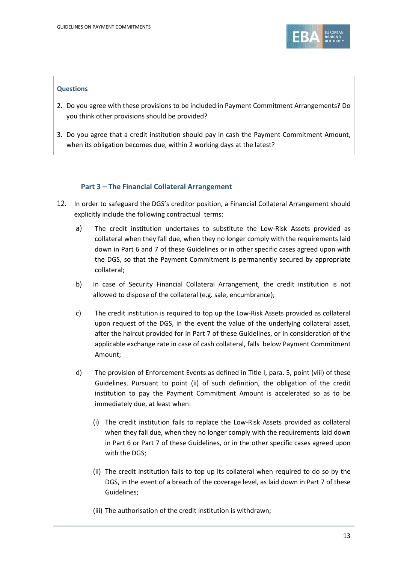

### **Questions**

- 2. Do you agree with these provisions to be included in Payment Commitment Arrangements? Do you think other provisions should be provided?
- 3. Do you agree that a credit institution should pay in cash the Payment Commitment Amount, when its obligation becomes due, within 2 working days at the latest?

# **Part 3 – The Financial Collateral Arrangement**

- 12. In order to safeguard the DGS's creditor position, a Financial Collateral Arrangement should explicitly include the following contractual terms:
	- a) The credit institution undertakes to substitute the Low-Risk Assets provided as collateral when they fall due, when they no longer comply with the requirements laid down in Part 6 and 7 of these Guidelines or in other specific cases agreed upon with the DGS, so that the Payment Commitment is permanently secured by appropriate collateral;
	- b) In case of Security Financial Collateral Arrangement, the credit institution is not allowed to dispose of the collateral (e.g. sale, encumbrance);
	- c) The credit institution is required to top up the Low-Risk Assets provided as collateral upon request of the DGS, in the event the value of the underlying collateral asset, after the haircut provided for in Part 7 of these Guidelines, or in consideration of the applicable exchange rate in case of cash collateral, falls below Payment Commitment Amount;
	- d) The provision of Enforcement Events as defined in Title I, para. 5, point (viii) of these Guidelines. Pursuant to point (ii) of such definition, the obligation of the credit institution to pay the Payment Commitment Amount is accelerated so as to be immediately due, at least when:
		- (i) The credit institution fails to replace the Low-Risk Assets provided as collateral when they fall due, when they no longer comply with the requirements laid down in Part 6 or Part 7 of these Guidelines, or in the other specific cases agreed upon with the DGS;
		- (ii) The credit institution fails to top up its collateral when required to do so by the DGS, in the event of a breach of the coverage level, as laid down in Part 7 of these Guidelines;
		- (iii) The authorisation of the credit institution is withdrawn;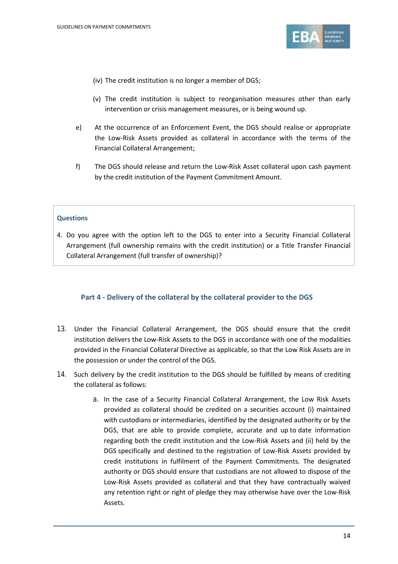

(iv) The credit institution is no longer a member of DGS;

- (v) The credit institution is subject to reorganisation measures other than early intervention or crisis management measures, or is being wound up.
- e) At the occurrence of an Enforcement Event, the DGS should realise or appropriate the Low-Risk Assets provided as collateral in accordance with the terms of the Financial Collateral Arrangement;
- f) The DGS should release and return the Low-Risk Asset collateral upon cash payment by the credit institution of the Payment Commitment Amount.

#### **Questions**

4. Do you agree with the option left to the DGS to enter into a Security Financial Collateral Arrangement (full ownership remains with the credit institution) or a Title Transfer Financial Collateral Arrangement (full transfer of ownership)?

# **Part 4 - Delivery of the collateral by the collateral provider to the DGS**

- 13. Under the Financial Collateral Arrangement, the DGS should ensure that the credit institution delivers the Low-Risk Assets to the DGS in accordance with one of the modalities provided in the Financial Collateral Directive as applicable, so that the Low Risk Assets are in the possession or under the control of the DGS.
- 14. Such delivery by the credit institution to the DGS should be fulfilled by means of crediting the collateral as follows:
	- a. In the case of a Security Financial Collateral Arrangement, the Low Risk Assets provided as collateral should be credited on a securities account (i) maintained with custodians or intermediaries, identified by the designated authority or by the DGS, that are able to provide complete, accurate and up to date information regarding both the credit institution and the Low-Risk Assets and (ii) held by the DGS specifically and destined to the registration of Low-Risk Assets provided by credit institutions in fulfilment of the Payment Commitments. The designated authority or DGS should ensure that custodians are not allowed to dispose of the Low-Risk Assets provided as collateral and that they have contractually waived any retention right or right of pledge they may otherwise have over the Low-Risk Assets.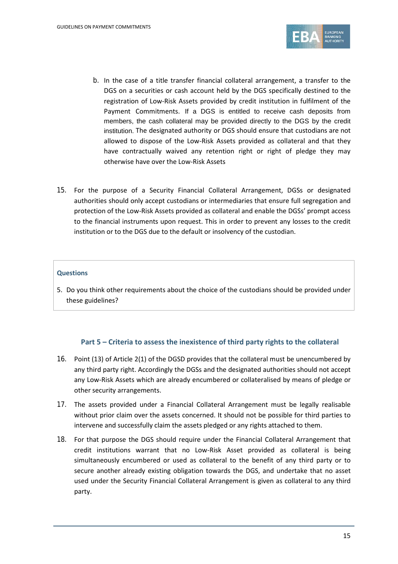

- b. In the case of a title transfer financial collateral arrangement, a transfer to the DGS on a securities or cash account held by the DGS specifically destined to the registration of Low-Risk Assets provided by credit institution in fulfilment of the Payment Commitments. If a DGS is entitled to receive cash deposits from members, the cash collateral may be provided directly to the DGS by the credit institution. The designated authority or DGS should ensure that custodians are not allowed to dispose of the Low-Risk Assets provided as collateral and that they have contractually waived any retention right or right of pledge they may otherwise have over the Low-Risk Assets
- 15. For the purpose of a Security Financial Collateral Arrangement, DGSs or designated authorities should only accept custodians or intermediaries that ensure full segregation and protection of the Low-Risk Assets provided as collateral and enable the DGSs' prompt access to the financial instruments upon request. This in order to prevent any losses to the credit institution or to the DGS due to the default or insolvency of the custodian.

#### **Questions**

5. Do you think other requirements about the choice of the custodians should be provided under these guidelines?

#### **Part 5 – Criteria to assess the inexistence of third party rights to the collateral**

- 16. Point (13) of Article 2(1) of the DGSD provides that the collateral must be unencumbered by any third party right. Accordingly the DGSs and the designated authorities should not accept any Low-Risk Assets which are already encumbered or collateralised by means of pledge or other security arrangements.
- 17. The assets provided under a Financial Collateral Arrangement must be legally realisable without prior claim over the assets concerned. It should not be possible for third parties to intervene and successfully claim the assets pledged or any rights attached to them.
- 18. For that purpose the DGS should require under the Financial Collateral Arrangement that credit institutions warrant that no Low-Risk Asset provided as collateral is being simultaneously encumbered or used as collateral to the benefit of any third party or to secure another already existing obligation towards the DGS, and undertake that no asset used under the Security Financial Collateral Arrangement is given as collateral to any third party.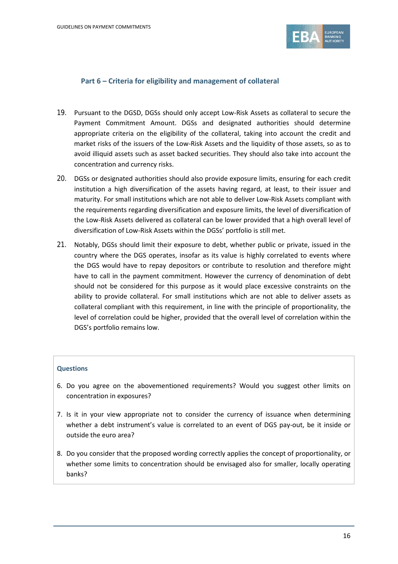

# **Part 6 – Criteria for eligibility and management of collateral**

- 19. Pursuant to the DGSD, DGSs should only accept Low-Risk Assets as collateral to secure the Payment Commitment Amount. DGSs and designated authorities should determine appropriate criteria on the eligibility of the collateral, taking into account the credit and market risks of the issuers of the Low-Risk Assets and the liquidity of those assets, so as to avoid illiquid assets such as asset backed securities. They should also take into account the concentration and currency risks.
- 20. DGSs or designated authorities should also provide exposure limits, ensuring for each credit institution a high diversification of the assets having regard, at least, to their issuer and maturity. For small institutions which are not able to deliver Low-Risk Assets compliant with the requirements regarding diversification and exposure limits, the level of diversification of the Low-Risk Assets delivered as collateral can be lower provided that a high overall level of diversification of Low-Risk Assets within the DGSs' portfolio is still met.
- 21. Notably, DGSs should limit their exposure to debt, whether public or private, issued in the country where the DGS operates, insofar as its value is highly correlated to events where the DGS would have to repay depositors or contribute to resolution and therefore might have to call in the payment commitment. However the currency of denomination of debt should not be considered for this purpose as it would place excessive constraints on the ability to provide collateral. For small institutions which are not able to deliver assets as collateral compliant with this requirement, in line with the principle of proportionality, the level of correlation could be higher, provided that the overall level of correlation within the DGS's portfolio remains low.

#### **Questions**

- 6. Do you agree on the abovementioned requirements? Would you suggest other limits on concentration in exposures?
- 7. Is it in your view appropriate not to consider the currency of issuance when determining whether a debt instrument's value is correlated to an event of DGS pay-out, be it inside or outside the euro area?
- 8. Do you consider that the proposed wording correctly applies the concept of proportionality, or whether some limits to concentration should be envisaged also for smaller, locally operating banks?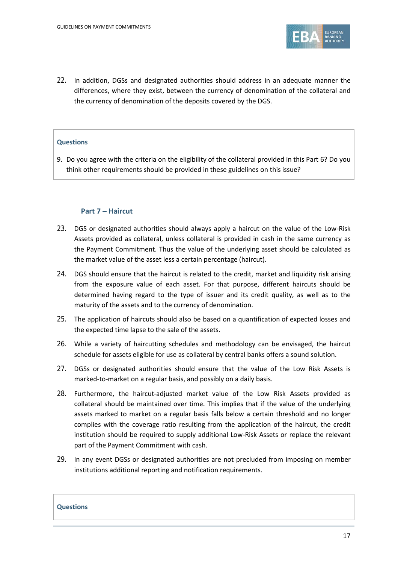

22. In addition, DGSs and designated authorities should address in an adequate manner the differences, where they exist, between the currency of denomination of the collateral and the currency of denomination of the deposits covered by the DGS.

#### **Questions**

9. Do you agree with the criteria on the eligibility of the collateral provided in this Part 6? Do you think other requirements should be provided in these guidelines on this issue?

### **Part 7 – Haircut**

- 23. DGS or designated authorities should always apply a haircut on the value of the Low-Risk Assets provided as collateral, unless collateral is provided in cash in the same currency as the Payment Commitment. Thus the value of the underlying asset should be calculated as the market value of the asset less a certain percentage (haircut).
- 24. DGS should ensure that the haircut is related to the credit, market and liquidity risk arising from the exposure value of each asset. For that purpose, different haircuts should be determined having regard to the type of issuer and its credit quality, as well as to the maturity of the assets and to the currency of denomination.
- 25. The application of haircuts should also be based on a quantification of expected losses and the expected time lapse to the sale of the assets.
- 26. While a variety of haircutting schedules and methodology can be envisaged, the haircut schedule for assets eligible for use as collateral by central banks offers a sound solution.
- 27. DGSs or designated authorities should ensure that the value of the Low Risk Assets is marked-to-market on a regular basis, and possibly on a daily basis.
- 28. Furthermore, the haircut-adjusted market value of the Low Risk Assets provided as collateral should be maintained over time. This implies that if the value of the underlying assets marked to market on a regular basis falls below a certain threshold and no longer complies with the coverage ratio resulting from the application of the haircut, the credit institution should be required to supply additional Low-Risk Assets or replace the relevant part of the Payment Commitment with cash.
- 29. In any event DGSs or designated authorities are not precluded from imposing on member institutions additional reporting and notification requirements.

#### **Questions**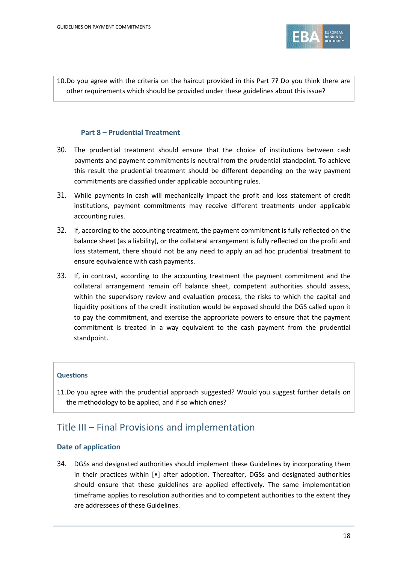

10.Do you agree with the criteria on the haircut provided in this Part 7? Do you think there are other requirements which should be provided under these guidelines about this issue?

# **Part 8 – Prudential Treatment**

- 30. The prudential treatment should ensure that the choice of institutions between cash payments and payment commitments is neutral from the prudential standpoint. To achieve this result the prudential treatment should be different depending on the way payment commitments are classified under applicable accounting rules.
- 31. While payments in cash will mechanically impact the profit and loss statement of credit institutions, payment commitments may receive different treatments under applicable accounting rules.
- 32. If, according to the accounting treatment, the payment commitment is fully reflected on the balance sheet (as a liability), or the collateral arrangement is fully reflected on the profit and loss statement, there should not be any need to apply an ad hoc prudential treatment to ensure equivalence with cash payments.
- 33. If, in contrast, according to the accounting treatment the payment commitment and the collateral arrangement remain off balance sheet, competent authorities should assess, within the supervisory review and evaluation process, the risks to which the capital and liquidity positions of the credit institution would be exposed should the DGS called upon it to pay the commitment, and exercise the appropriate powers to ensure that the payment commitment is treated in a way equivalent to the cash payment from the prudential standpoint.

# **Questions**

11.Do you agree with the prudential approach suggested? Would you suggest further details on the methodology to be applied, and if so which ones?

# Title III – Final Provisions and implementation

# **Date of application**

34. DGSs and designated authorities should implement these Guidelines by incorporating them in their practices within [•] after adoption. Thereafter, DGSs and designated authorities should ensure that these guidelines are applied effectively. The same implementation timeframe applies to resolution authorities and to competent authorities to the extent they are addressees of these Guidelines.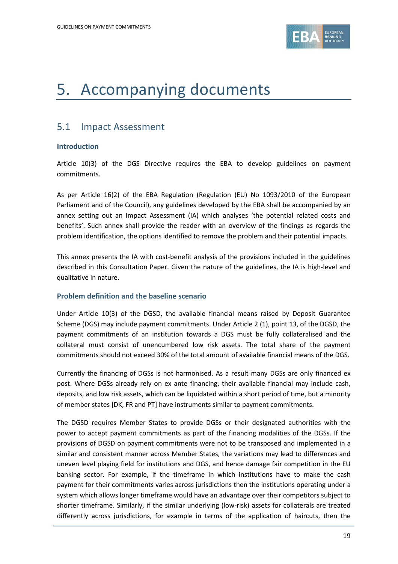

# 5. Accompanying documents

# 5.1 Impact Assessment

# **Introduction**

Article 10(3) of the DGS Directive requires the EBA to develop guidelines on payment commitments.

As per Article 16(2) of the EBA Regulation (Regulation (EU) No 1093/2010 of the European Parliament and of the Council), any guidelines developed by the EBA shall be accompanied by an annex setting out an Impact Assessment (IA) which analyses 'the potential related costs and benefits'. Such annex shall provide the reader with an overview of the findings as regards the problem identification, the options identified to remove the problem and their potential impacts.

This annex presents the IA with cost-benefit analysis of the provisions included in the guidelines described in this Consultation Paper. Given the nature of the guidelines, the IA is high-level and qualitative in nature.

# **Problem definition and the baseline scenario**

Under Article 10(3) of the DGSD, the available financial means raised by Deposit Guarantee Scheme (DGS) may include payment commitments. Under Article 2 (1), point 13, of the DGSD, the payment commitments of an institution towards a DGS must be fully collateralised and the collateral must consist of unencumbered low risk assets. The total share of the payment commitments should not exceed 30% of the total amount of available financial means of the DGS.

Currently the financing of DGSs is not harmonised. As a result many DGSs are only financed ex post. Where DGSs already rely on ex ante financing, their available financial may include cash, deposits, and low risk assets, which can be liquidated within a short period of time, but a minority of member states [DK, FR and PT] have instruments similar to payment commitments.

The DGSD requires Member States to provide DGSs or their designated authorities with the power to accept payment commitments as part of the financing modalities of the DGSs. If the provisions of DGSD on payment commitments were not to be transposed and implemented in a similar and consistent manner across Member States, the variations may lead to differences and uneven level playing field for institutions and DGS, and hence damage fair competition in the EU banking sector. For example, if the timeframe in which institutions have to make the cash payment for their commitments varies across jurisdictions then the institutions operating under a system which allows longer timeframe would have an advantage over their competitors subject to shorter timeframe. Similarly, if the similar underlying (low-risk) assets for collaterals are treated differently across jurisdictions, for example in terms of the application of haircuts, then the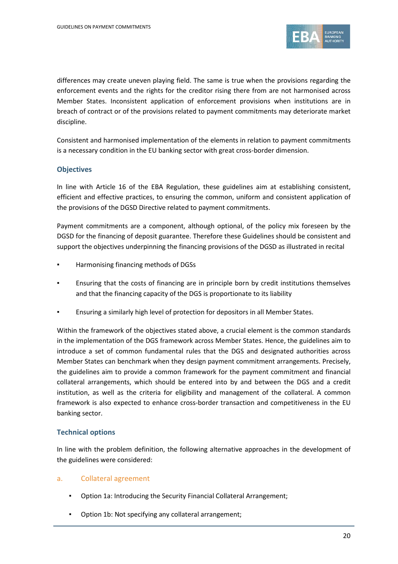

differences may create uneven playing field. The same is true when the provisions regarding the enforcement events and the rights for the creditor rising there from are not harmonised across Member States. Inconsistent application of enforcement provisions when institutions are in breach of contract or of the provisions related to payment commitments may deteriorate market discipline.

Consistent and harmonised implementation of the elements in relation to payment commitments is a necessary condition in the EU banking sector with great cross-border dimension.

# **Objectives**

In line with Article 16 of the EBA Regulation, these guidelines aim at establishing consistent, efficient and effective practices, to ensuring the common, uniform and consistent application of the provisions of the DGSD Directive related to payment commitments.

Payment commitments are a component, although optional, of the policy mix foreseen by the DGSD for the financing of deposit guarantee. Therefore these Guidelines should be consistent and support the objectives underpinning the financing provisions of the DGSD as illustrated in recital

- Harmonising financing methods of DGSs
- **•** Ensuring that the costs of financing are in principle born by credit institutions themselves and that the financing capacity of the DGS is proportionate to its liability
- Ensuring a similarly high level of protection for depositors in all Member States.

Within the framework of the objectives stated above, a crucial element is the common standards in the implementation of the DGS framework across Member States. Hence, the guidelines aim to introduce a set of common fundamental rules that the DGS and designated authorities across Member States can benchmark when they design payment commitment arrangements. Precisely, the guidelines aim to provide a common framework for the payment commitment and financial collateral arrangements, which should be entered into by and between the DGS and a credit institution, as well as the criteria for eligibility and management of the collateral. A common framework is also expected to enhance cross-border transaction and competitiveness in the EU banking sector.

# **Technical options**

In line with the problem definition, the following alternative approaches in the development of the guidelines were considered:

# a. Collateral agreement

- Option 1a: Introducing the Security Financial Collateral Arrangement;
- Option 1b: Not specifying any collateral arrangement;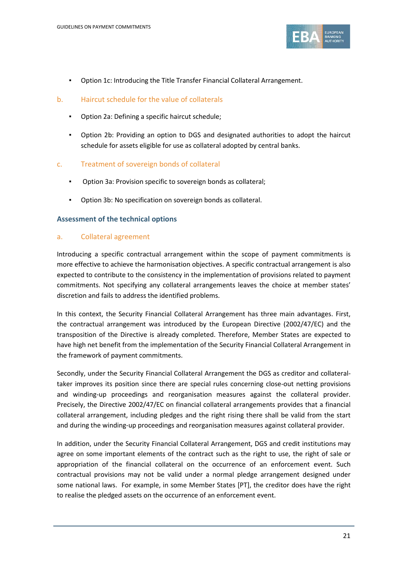

- Option 1c: Introducing the Title Transfer Financial Collateral Arrangement.
- b. Haircut schedule for the value of collaterals
	- Option 2a: Defining a specific haircut schedule;
	- Option 2b: Providing an option to DGS and designated authorities to adopt the haircut schedule for assets eligible for use as collateral adopted by central banks.
- c. Treatment of sovereign bonds of collateral
	- Option 3a: Provision specific to sovereign bonds as collateral;
	- Option 3b: No specification on sovereign bonds as collateral.

# **Assessment of the technical options**

# a. Collateral agreement

Introducing a specific contractual arrangement within the scope of payment commitments is more effective to achieve the harmonisation objectives. A specific contractual arrangement is also expected to contribute to the consistency in the implementation of provisions related to payment commitments. Not specifying any collateral arrangements leaves the choice at member states' discretion and fails to address the identified problems.

In this context, the Security Financial Collateral Arrangement has three main advantages. First, the contractual arrangement was introduced by the European Directive (2002/47/EC) and the transposition of the Directive is already completed. Therefore, Member States are expected to have high net benefit from the implementation of the Security Financial Collateral Arrangement in the framework of payment commitments.

Secondly, under the Security Financial Collateral Arrangement the DGS as creditor and collateraltaker improves its position since there are special rules concerning close-out netting provisions and winding-up proceedings and reorganisation measures against the collateral provider. Precisely, the Directive 2002/47/EC on financial collateral arrangements provides that a financial collateral arrangement, including pledges and the right rising there shall be valid from the start and during the winding-up proceedings and reorganisation measures against collateral provider.

In addition, under the Security Financial Collateral Arrangement, DGS and credit institutions may agree on some important elements of the contract such as the right to use, the right of sale or appropriation of the financial collateral on the occurrence of an enforcement event. Such contractual provisions may not be valid under a normal pledge arrangement designed under some national laws. For example, in some Member States [PT], the creditor does have the right to realise the pledged assets on the occurrence of an enforcement event.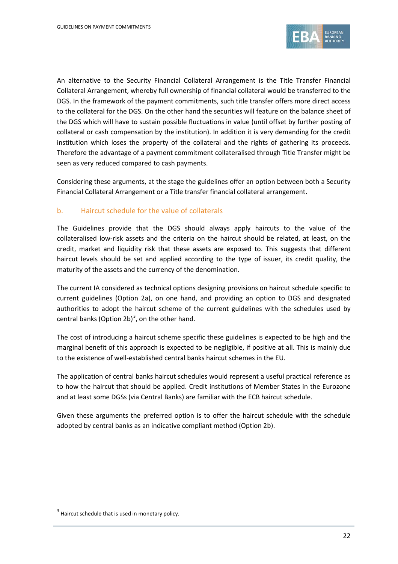

<span id="page-21-0"></span>An alternative to the Security Financial Collateral Arrangement is the Title Transfer Financial Collateral Arrangement, whereby full ownership of financial collateral would be transferred to the DGS. In the framework of the payment commitments, such title transfer offers more direct access to the collateral for the DGS. On the other hand the securities will feature on the balance sheet of the DGS which will have to sustain possible fluctuations in value (until offset by further posting of collateral or cash compensation by the institution). In addition it is very demanding for the credit institution which loses the property of the collateral and the rights of gathering its proceeds. Therefore the advantage of a payment commitment collateralised through Title Transfer might be seen as very reduced compared to cash payments.

Considering these arguments, at the stage the guidelines offer an option between both a Security Financial Collateral Arrangement or a Title transfer financial collateral arrangement.

# b. Haircut schedule for the value of collaterals

The Guidelines provide that the DGS should always apply haircuts to the value of the collateralised low-risk assets and the criteria on the haircut should be related, at least, on the credit, market and liquidity risk that these assets are exposed to. This suggests that different haircut levels should be set and applied according to the type of issuer, its credit quality, the maturity of the assets and the currency of the denomination.

The current IA considered as technical options designing provisions on haircut schedule specific to current guidelines (Option 2a), on one hand, and providing an option to DGS and designated authorities to adopt the haircut scheme of the current guidelines with the schedules used by central banks (Option 2b)<sup>[3](#page-21-0)</sup>, on the other hand.

The cost of introducing a haircut scheme specific these guidelines is expected to be high and the marginal benefit of this approach is expected to be negligible, if positive at all. This is mainly due to the existence of well-established central banks haircut schemes in the EU.

The application of central banks haircut schedules would represent a useful practical reference as to how the haircut that should be applied. Credit institutions of Member States in the Eurozone and at least some DGSs (via Central Banks) are familiar with the ECB haircut schedule.

Given these arguments the preferred option is to offer the haircut schedule with the schedule adopted by central banks as an indicative compliant method (Option 2b).

 $\overline{a}$ 

 $3$  Haircut schedule that is used in monetary policy.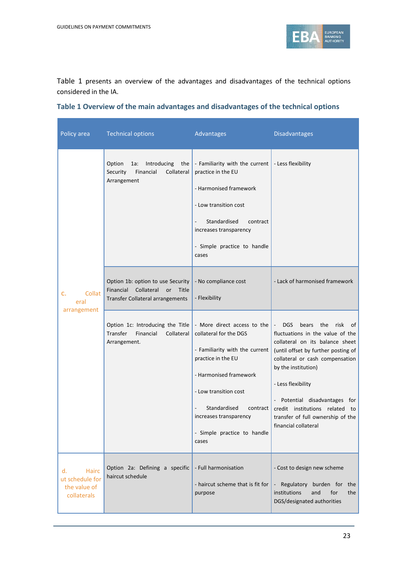

Table 1 presents an overview of the advantages and disadvantages of the technical options considered in the IA.

| Policy area                                                          | <b>Technical options</b>                                                                                        | Advantages                                                                                                                                                                                                                                                     | <b>Disadvantages</b>                                                                                                                                                                                                                                                                                                                                                                         |
|----------------------------------------------------------------------|-----------------------------------------------------------------------------------------------------------------|----------------------------------------------------------------------------------------------------------------------------------------------------------------------------------------------------------------------------------------------------------------|----------------------------------------------------------------------------------------------------------------------------------------------------------------------------------------------------------------------------------------------------------------------------------------------------------------------------------------------------------------------------------------------|
|                                                                      | Option<br>1a:<br>Introducing<br>the<br>Collateral<br>Financial<br>Security<br>Arrangement                       | - Familiarity with the current<br>practice in the EU<br>- Harmonised framework<br>- Low transition cost<br>Standardised<br>contract<br>increases transparency<br>- Simple practice to handle<br>cases                                                          | - Less flexibility                                                                                                                                                                                                                                                                                                                                                                           |
| Collat<br>c.<br>eral                                                 | Option 1b: option to use Security<br>Financial<br>Collateral<br>Title<br>or<br>Transfer Collateral arrangements | - No compliance cost<br>- Flexibility                                                                                                                                                                                                                          | - Lack of harmonised framework                                                                                                                                                                                                                                                                                                                                                               |
| arrangement                                                          | Option 1c: Introducing the Title<br>Transfer<br>Collateral<br>Financial<br>Arrangement.                         | - More direct access to the<br>collateral for the DGS<br>- Familiarity with the current<br>practice in the EU<br>- Harmonised framework<br>- Low transition cost<br>Standardised<br>contract<br>increases transparency<br>- Simple practice to handle<br>cases | risk<br>DGS<br>bears the<br>$\overline{\phantom{a}}$<br>of<br>fluctuations in the value of the<br>collateral on its balance sheet<br>(until offset by further posting of<br>collateral or cash compensation<br>by the institution)<br>- Less flexibility<br>- Potential disadvantages for<br>credit institutions related<br>to:<br>transfer of full ownership of the<br>financial collateral |
| <b>Hairc</b><br>d.<br>ut schedule for<br>the value of<br>collaterals | Option 2a: Defining a specific<br>haircut schedule                                                              | - Full harmonisation<br>- haircut scheme that is fit for<br>purpose                                                                                                                                                                                            | - Cost to design new scheme<br>- Regulatory burden for the<br>institutions<br>and<br>for<br>the<br>DGS/designated authorities                                                                                                                                                                                                                                                                |

# **Table 1 Overview of the main advantages and disadvantages of the technical options**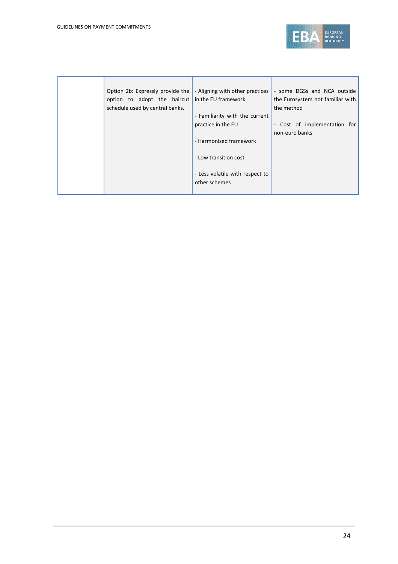

| Option 2b: Expressly provide the | in the EU framework                              | - some DGSs and NCA outside<br>the Eurosystem not familiar with  |
|----------------------------------|--------------------------------------------------|------------------------------------------------------------------|
| schedule used by central banks.  |                                                  | the method                                                       |
|                                  | - Familiarity with the current                   |                                                                  |
|                                  | practice in the EU                               | - Cost of implementation for                                     |
|                                  |                                                  | non-euro banks                                                   |
|                                  | - Harmonised framework                           |                                                                  |
|                                  | - Low transition cost                            |                                                                  |
|                                  | - Less volatile with respect to<br>other schemes |                                                                  |
|                                  |                                                  | - Aligning with other practices  <br>option to adopt the haircut |